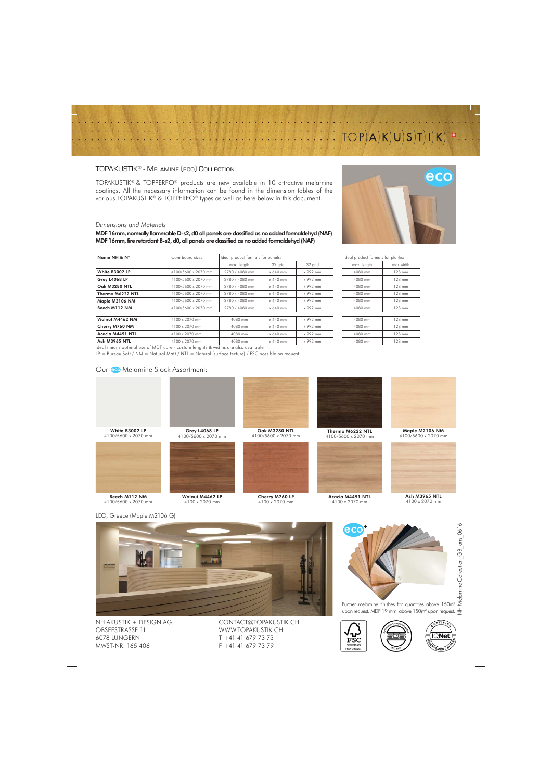# $TOP|A|K|U|S|T|I|K|$

T.

## TOPAKUSTIK® - Melamine (eco) Collection

TOPAKUSTIK® & TOPPERFO® products are new available in 10 attractive melamine coatings. All the necessary information can be found in the dimension tables of the various TOPAKUSTIK® & TOPPERFO® types as well as here below in this document.

### *Dimensions and Materials*

MDF 16mm, normally flammable D-s2, d0 all panels are classified as no added formaldehyd (NAF) MDF 16mm, fire retardant B-s2, d0, all panels are classified as no added formaldehyd (NAF)

| Name NH & N°         | Core board sizes:                                                                | Ideal product formats for panels: |          |          | Ideal product formats for planks: |           |
|----------------------|----------------------------------------------------------------------------------|-----------------------------------|----------|----------|-----------------------------------|-----------|
|                      |                                                                                  | max. length                       | 32 grid  | 32 grid  | max. length                       | max width |
| White B3002 LP       | 4100/5600 x 2070 mm                                                              | 2780 / 4080 mm                    | x 640 mm | x 992 mm | 4080 mm                           | 128 mm    |
| Grey L4068 LP        | 4100/5600 x 2070 mm                                                              | 2780 / 4080 mm                    | x 640 mm | x 992 mm | 4080 mm                           | 128 mm    |
| Oak M3280 NTL        | 4100/5600 x 2070 mm                                                              | 2780 / 4080 mm                    | x 640 mm | x 992 mm | 4080 mm                           | 128 mm    |
| Thermo M6222 NTL     | 4100/5600 x 2070 mm                                                              | 2780 / 4080 mm                    | x 640 mm | x 992 mm | 4080 mm                           | 128 mm    |
| Maple M2106 NM       | 4100/5600 x 2070 mm                                                              | 2780 / 4080 mm                    | x 640 mm | x 992 mm | 4080 mm                           | 128 mm    |
| Beech M112 NM        | 4100/5600 x 2070 mm                                                              | 2780 / 4080 mm                    | x 640 mm | x 992 mm | 4080 mm                           | 128 mm    |
| Walnut M4462 NM      | 4100 x 2070 mm                                                                   | 4080 mm                           | x 640 mm | x 992 mm | 4080 mm                           | 128 mm    |
| Cherry M760 NM       | 4100 x 2070 mm                                                                   | 4080 mm                           | x 640 mm | x 992 mm | 4080 mm                           | 128 mm    |
| Acacia M4451 NTL     | 4100 x 2070 mm                                                                   | 4080 mm                           | x 640 mm | x 992 mm | 4080 mm                           | 128 mm    |
| <b>Ash M3965 NTL</b> | 4100 x 2070 mm                                                                   | 4080 mm                           | x 640 mm | x 992 mm | 4080 mm                           | 128 mm    |
|                      | ideal means optimal use of MDF core - custom lenghts & widths are also available |                                   |          |          |                                   |           |

LP = Bureau Soft / NM = Natural Matt / NTL = Natural (surface texture) / FSC possible on request

4100/5600 x 2070 mm

Walnut M4462 LP 4100 x 2070 mm

### Our co Melamine Stock Assortment:



| Ideal product formats for planks: |           |  |  |  |  |
|-----------------------------------|-----------|--|--|--|--|
| max. length                       | max width |  |  |  |  |
| 4080 mm                           | 128 mm    |  |  |  |  |
| 4080 mm                           | 128 mm    |  |  |  |  |
| 4080 mm                           | 128 mm    |  |  |  |  |
| 4080 mm                           | 128 mm    |  |  |  |  |
| 4080 mm                           | 128 mm    |  |  |  |  |
| 4080 mm                           | 128 mm    |  |  |  |  |
|                                   |           |  |  |  |  |
| 4080 mm                           | 128 mm    |  |  |  |  |
| 4080 mm                           | 128 mm    |  |  |  |  |
| 4080 mm                           | 128 mm    |  |  |  |  |
| 4080 mm                           | 128 mm    |  |  |  |  |

Grey L4068 LP

Oak M3280 NTL 4100/5600 x 2070 mm



Cherry M760 LP 4100 x 2070 mm





Acacia M4451 NTL 4100 x 2070 mm



Maple M2106 NM 4100/5600 x 2070 mm



Ash M3965 NTL 4100 x 2070 mm

LEO, Greece (Maple M2106 G)

Beech M112 NM 4100/5600 x 2070 mm

White B3002 LP 4100/5600 x 2070 mm



NH AKUSTIK + DESIGN AG OBSEESTRASSE 11 6078 LUNGERN MWST-NR. 165 406

CONTACT@TOPAKUSTIK.CH WWW.TOPAKUSTIK.CH T +41 41 679 73 73 F +41 41 679 73 79



Further melamine finishes for quantities above 150m<sup>2</sup> upon request. MDF 19 mm above 150m<sup>2</sup> upon request.